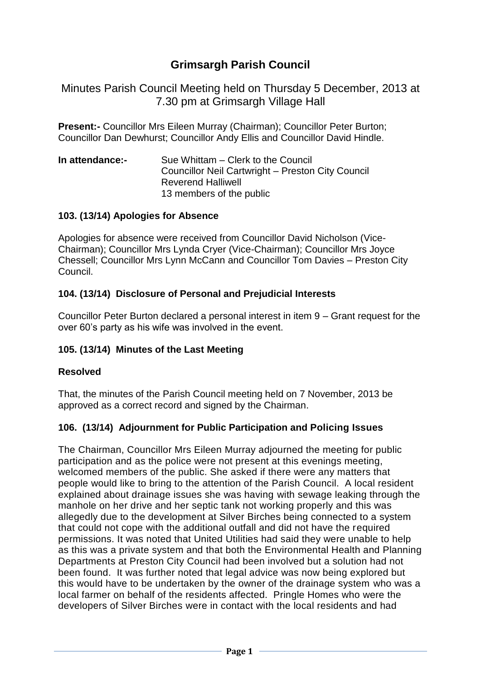# **Grimsargh Parish Council**

Minutes Parish Council Meeting held on Thursday 5 December, 2013 at 7.30 pm at Grimsargh Village Hall

**Present:-** Councillor Mrs Eileen Murray (Chairman); Councillor Peter Burton; Councillor Dan Dewhurst; Councillor Andy Ellis and Councillor David Hindle.

**In attendance:-** Sue Whittam – Clerk to the Council Councillor Neil Cartwright – Preston City Council Reverend Halliwell 13 members of the public

#### **103. (13/14) Apologies for Absence**

Apologies for absence were received from Councillor David Nicholson (Vice-Chairman); Councillor Mrs Lynda Cryer (Vice-Chairman); Councillor Mrs Joyce Chessell; Councillor Mrs Lynn McCann and Councillor Tom Davies – Preston City Council.

#### **104. (13/14) Disclosure of Personal and Prejudicial Interests**

Councillor Peter Burton declared a personal interest in item 9 – Grant request for the over 60's party as his wife was involved in the event.

## **105. (13/14) Minutes of the Last Meeting**

#### **Resolved**

That, the minutes of the Parish Council meeting held on 7 November, 2013 be approved as a correct record and signed by the Chairman.

#### **106. (13/14) Adjournment for Public Participation and Policing Issues**

The Chairman, Councillor Mrs Eileen Murray adjourned the meeting for public participation and as the police were not present at this evenings meeting, welcomed members of the public. She asked if there were any matters that people would like to bring to the attention of the Parish Council. A local resident explained about drainage issues she was having with sewage leaking through the manhole on her drive and her septic tank not working properly and this was allegedly due to the development at Silver Birches being connected to a system that could not cope with the additional outfall and did not have the required permissions. It was noted that United Utilities had said they were unable to help as this was a private system and that both the Environmental Health and Planning Departments at Preston City Council had been involved but a solution had not been found. It was further noted that legal advice was now being explored but this would have to be undertaken by the owner of the drainage system who was a local farmer on behalf of the residents affected. Pringle Homes who were the developers of Silver Birches were in contact with the local residents and had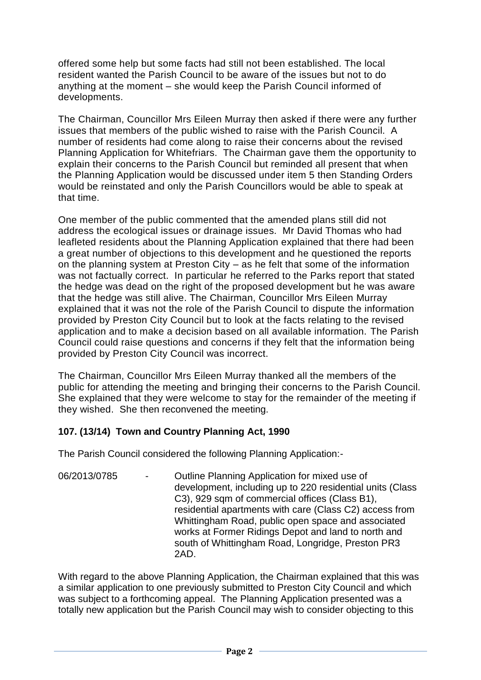offered some help but some facts had still not been established. The local resident wanted the Parish Council to be aware of the issues but not to do anything at the moment – she would keep the Parish Council informed of developments.

The Chairman, Councillor Mrs Eileen Murray then asked if there were any further issues that members of the public wished to raise with the Parish Council. A number of residents had come along to raise their concerns about the revised Planning Application for Whitefriars. The Chairman gave them the opportunity to explain their concerns to the Parish Council but reminded all present that when the Planning Application would be discussed under item 5 then Standing Orders would be reinstated and only the Parish Councillors would be able to speak at that time.

One member of the public commented that the amended plans still did not address the ecological issues or drainage issues. Mr David Thomas who had leafleted residents about the Planning Application explained that there had been a great number of objections to this development and he questioned the reports on the planning system at Preston City – as he felt that some of the information was not factually correct. In particular he referred to the Parks report that stated the hedge was dead on the right of the proposed development but he was aware that the hedge was still alive. The Chairman, Councillor Mrs Eileen Murray explained that it was not the role of the Parish Council to dispute the information provided by Preston City Council but to look at the facts relating to the revised application and to make a decision based on all available information. The Parish Council could raise questions and concerns if they felt that the information being provided by Preston City Council was incorrect.

The Chairman, Councillor Mrs Eileen Murray thanked all the members of the public for attending the meeting and bringing their concerns to the Parish Council. She explained that they were welcome to stay for the remainder of the meeting if they wished. She then reconvened the meeting.

## **107. (13/14) Town and Country Planning Act, 1990**

The Parish Council considered the following Planning Application:-

06/2013/0785 - Outline Planning Application for mixed use of development, including up to 220 residential units (Class C3), 929 sqm of commercial offices (Class B1), residential apartments with care (Class C2) access from Whittingham Road, public open space and associated works at Former Ridings Depot and land to north and south of Whittingham Road, Longridge, Preston PR3 2AD.

With regard to the above Planning Application, the Chairman explained that this was a similar application to one previously submitted to Preston City Council and which was subject to a forthcoming appeal. The Planning Application presented was a totally new application but the Parish Council may wish to consider objecting to this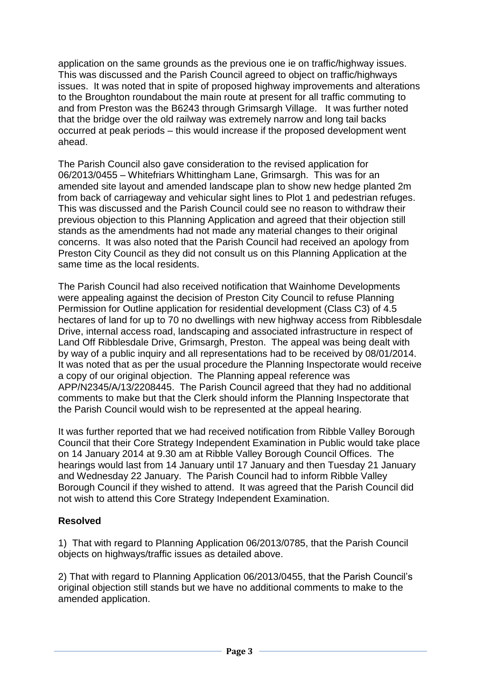application on the same grounds as the previous one ie on traffic/highway issues. This was discussed and the Parish Council agreed to object on traffic/highways issues. It was noted that in spite of proposed highway improvements and alterations to the Broughton roundabout the main route at present for all traffic commuting to and from Preston was the B6243 through Grimsargh Village. It was further noted that the bridge over the old railway was extremely narrow and long tail backs occurred at peak periods – this would increase if the proposed development went ahead.

The Parish Council also gave consideration to the revised application for 06/2013/0455 – Whitefriars Whittingham Lane, Grimsargh. This was for an amended site layout and amended landscape plan to show new hedge planted 2m from back of carriageway and vehicular sight lines to Plot 1 and pedestrian refuges. This was discussed and the Parish Council could see no reason to withdraw their previous objection to this Planning Application and agreed that their objection still stands as the amendments had not made any material changes to their original concerns. It was also noted that the Parish Council had received an apology from Preston City Council as they did not consult us on this Planning Application at the same time as the local residents.

The Parish Council had also received notification that Wainhome Developments were appealing against the decision of Preston City Council to refuse Planning Permission for Outline application for residential development (Class C3) of 4.5 hectares of land for up to 70 no dwellings with new highway access from Ribblesdale Drive, internal access road, landscaping and associated infrastructure in respect of Land Off Ribblesdale Drive, Grimsargh, Preston. The appeal was being dealt with by way of a public inquiry and all representations had to be received by 08/01/2014. It was noted that as per the usual procedure the Planning Inspectorate would receive a copy of our original objection. The Planning appeal reference was APP/N2345/A/13/2208445. The Parish Council agreed that they had no additional comments to make but that the Clerk should inform the Planning Inspectorate that the Parish Council would wish to be represented at the appeal hearing.

It was further reported that we had received notification from Ribble Valley Borough Council that their Core Strategy Independent Examination in Public would take place on 14 January 2014 at 9.30 am at Ribble Valley Borough Council Offices. The hearings would last from 14 January until 17 January and then Tuesday 21 January and Wednesday 22 January. The Parish Council had to inform Ribble Valley Borough Council if they wished to attend. It was agreed that the Parish Council did not wish to attend this Core Strategy Independent Examination.

## **Resolved**

1) That with regard to Planning Application 06/2013/0785, that the Parish Council objects on highways/traffic issues as detailed above.

2) That with regard to Planning Application 06/2013/0455, that the Parish Council's original objection still stands but we have no additional comments to make to the amended application.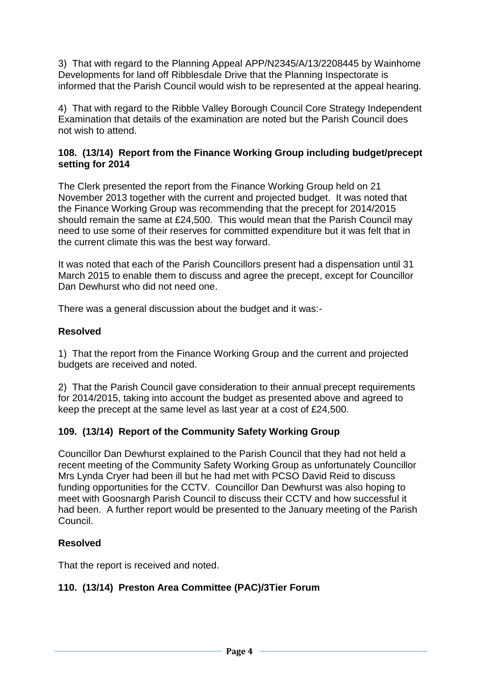3) That with regard to the Planning Appeal APP/N2345/A/13/2208445 by Wainhome Developments for land off Ribblesdale Drive that the Planning Inspectorate is informed that the Parish Council would wish to be represented at the appeal hearing.

4) That with regard to the Ribble Valley Borough Council Core Strategy Independent Examination that details of the examination are noted but the Parish Council does not wish to attend.

#### **108. (13/14) Report from the Finance Working Group including budget/precept setting for 2014**

The Clerk presented the report from the Finance Working Group held on 21 November 2013 together with the current and projected budget. It was noted that the Finance Working Group was recommending that the precept for 2014/2015 should remain the same at £24,500. This would mean that the Parish Council may need to use some of their reserves for committed expenditure but it was felt that in the current climate this was the best way forward.

It was noted that each of the Parish Councillors present had a dispensation until 31 March 2015 to enable them to discuss and agree the precept, except for Councillor Dan Dewhurst who did not need one.

There was a general discussion about the budget and it was:-

## **Resolved**

1) That the report from the Finance Working Group and the current and projected budgets are received and noted.

2) That the Parish Council gave consideration to their annual precept requirements for 2014/2015, taking into account the budget as presented above and agreed to keep the precept at the same level as last year at a cost of £24,500.

## **109. (13/14) Report of the Community Safety Working Group**

Councillor Dan Dewhurst explained to the Parish Council that they had not held a recent meeting of the Community Safety Working Group as unfortunately Councillor Mrs Lynda Cryer had been ill but he had met with PCSO David Reid to discuss funding opportunities for the CCTV. Councillor Dan Dewhurst was also hoping to meet with Goosnargh Parish Council to discuss their CCTV and how successful it had been. A further report would be presented to the January meeting of the Parish Council.

## **Resolved**

That the report is received and noted.

## **110. (13/14) Preston Area Committee (PAC)/3Tier Forum**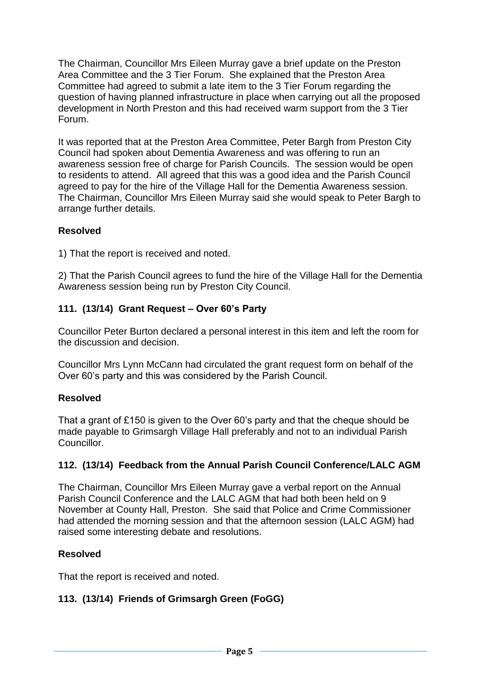The Chairman, Councillor Mrs Eileen Murray gave a brief update on the Preston Area Committee and the 3 Tier Forum. She explained that the Preston Area Committee had agreed to submit a late item to the 3 Tier Forum regarding the question of having planned infrastructure in place when carrying out all the proposed development in North Preston and this had received warm support from the 3 Tier Forum.

It was reported that at the Preston Area Committee, Peter Bargh from Preston City Council had spoken about Dementia Awareness and was offering to run an awareness session free of charge for Parish Councils. The session would be open to residents to attend. All agreed that this was a good idea and the Parish Council agreed to pay for the hire of the Village Hall for the Dementia Awareness session. The Chairman, Councillor Mrs Eileen Murray said she would speak to Peter Bargh to arrange further details.

# **Resolved**

1) That the report is received and noted.

2) That the Parish Council agrees to fund the hire of the Village Hall for the Dementia Awareness session being run by Preston City Council.

# **111. (13/14) Grant Request – Over 60's Party**

Councillor Peter Burton declared a personal interest in this item and left the room for the discussion and decision.

Councillor Mrs Lynn McCann had circulated the grant request form on behalf of the Over 60's party and this was considered by the Parish Council.

## **Resolved**

That a grant of £150 is given to the Over 60's party and that the cheque should be made payable to Grimsargh Village Hall preferably and not to an individual Parish Councillor.

## **112. (13/14) Feedback from the Annual Parish Council Conference/LALC AGM**

The Chairman, Councillor Mrs Eileen Murray gave a verbal report on the Annual Parish Council Conference and the LALC AGM that had both been held on 9 November at County Hall, Preston. She said that Police and Crime Commissioner had attended the morning session and that the afternoon session (LALC AGM) had raised some interesting debate and resolutions.

## **Resolved**

That the report is received and noted.

# **113. (13/14) Friends of Grimsargh Green (FoGG)**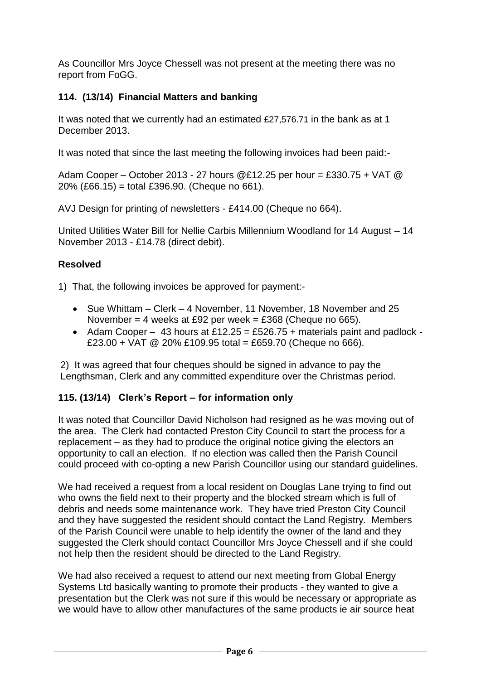As Councillor Mrs Joyce Chessell was not present at the meeting there was no report from FoGG.

# **114. (13/14) Financial Matters and banking**

It was noted that we currently had an estimated £27,576.71 in the bank as at 1 December 2013.

It was noted that since the last meeting the following invoices had been paid:-

Adam Cooper – October 2013 - 27 hours @£12.25 per hour = £330.75 + VAT @ 20% (£66.15) = total £396.90. (Cheque no 661).

AVJ Design for printing of newsletters - £414.00 (Cheque no 664).

United Utilities Water Bill for Nellie Carbis Millennium Woodland for 14 August – 14 November 2013 - £14.78 (direct debit).

## **Resolved**

1) That, the following invoices be approved for payment:-

- Sue Whittam Clerk 4 November, 11 November, 18 November and 25 November = 4 weeks at £92 per week = £368 (Cheque no 665).
- Adam Cooper 43 hours at £12.25 = £526.75 + materials paint and padlock -£23.00 + VAT @ 20% £109.95 total = £659.70 (Cheque no 666).

2) It was agreed that four cheques should be signed in advance to pay the Lengthsman, Clerk and any committed expenditure over the Christmas period.

## **115. (13/14) Clerk's Report – for information only**

It was noted that Councillor David Nicholson had resigned as he was moving out of the area. The Clerk had contacted Preston City Council to start the process for a replacement – as they had to produce the original notice giving the electors an opportunity to call an election. If no election was called then the Parish Council could proceed with co-opting a new Parish Councillor using our standard guidelines.

We had received a request from a local resident on Douglas Lane trying to find out who owns the field next to their property and the blocked stream which is full of debris and needs some maintenance work. They have tried Preston City Council and they have suggested the resident should contact the Land Registry. Members of the Parish Council were unable to help identify the owner of the land and they suggested the Clerk should contact Councillor Mrs Joyce Chessell and if she could not help then the resident should be directed to the Land Registry.

We had also received a request to attend our next meeting from Global Energy Systems Ltd basically wanting to promote their products - they wanted to give a presentation but the Clerk was not sure if this would be necessary or appropriate as we would have to allow other manufactures of the same products ie air source heat